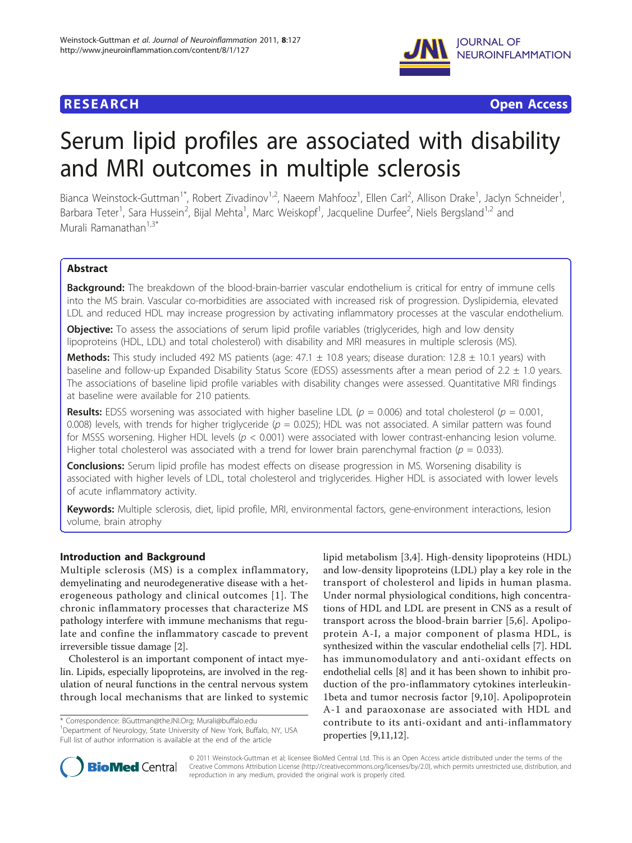

**RESEARCH CONSTRUCTION CONSTRUCTS** 

# Serum lipid profiles are associated with disability and MRI outcomes in multiple sclerosis

Bianca Weinstock-Guttman<sup>1\*</sup>, Robert Zivadinov<sup>1,2</sup>, Naeem Mahfooz<sup>1</sup>, Ellen Carl<sup>2</sup>, Allison Drake<sup>1</sup>, Jaclyn Schneider<sup>1</sup> , Barbara Teter<sup>1</sup>, Sara Hussein<sup>2</sup>, Bijal Mehta<sup>1</sup>, Marc Weiskopf<sup>1</sup>, Jacqueline Durfee<sup>2</sup>, Niels Bergsland<sup>1,2</sup> and Murali Ramanathan $1,3*$ 

# Abstract

Background: The breakdown of the blood-brain-barrier vascular endothelium is critical for entry of immune cells into the MS brain. Vascular co-morbidities are associated with increased risk of progression. Dyslipidemia, elevated LDL and reduced HDL may increase progression by activating inflammatory processes at the vascular endothelium.

**Objective:** To assess the associations of serum lipid profile variables (triglycerides, high and low density lipoproteins (HDL, LDL) and total cholesterol) with disability and MRI measures in multiple sclerosis (MS).

Methods: This study included 492 MS patients (age:  $47.1 \pm 10.8$  years; disease duration:  $12.8 \pm 10.1$  years) with baseline and follow-up Expanded Disability Status Score (EDSS) assessments after a mean period of  $2.2 \pm 1.0$  years. The associations of baseline lipid profile variables with disability changes were assessed. Quantitative MRI findings at baseline were available for 210 patients.

**Results:** EDSS worsening was associated with higher baseline LDL ( $p = 0.006$ ) and total cholesterol ( $p = 0.001$ , 0.008) levels, with trends for higher triglyceride ( $p = 0.025$ ); HDL was not associated. A similar pattern was found for MSSS worsening. Higher HDL levels ( $p < 0.001$ ) were associated with lower contrast-enhancing lesion volume. Higher total cholesterol was associated with a trend for lower brain parenchymal fraction ( $p = 0.033$ ).

**Conclusions:** Serum lipid profile has modest effects on disease progression in MS. Worsening disability is associated with higher levels of LDL, total cholesterol and triglycerides. Higher HDL is associated with lower levels of acute inflammatory activity.

Keywords: Multiple sclerosis, diet, lipid profile, MRI, environmental factors, gene-environment interactions, lesion volume, brain atrophy

# Introduction and Background

Multiple sclerosis (MS) is a complex inflammatory, demyelinating and neurodegenerative disease with a heterogeneous pathology and clinical outcomes [[1](#page-5-0)]. The chronic inflammatory processes that characterize MS pathology interfere with immune mechanisms that regulate and confine the inflammatory cascade to prevent irreversible tissue damage [\[2\]](#page-5-0).

Cholesterol is an important component of intact myelin. Lipids, especially lipoproteins, are involved in the regulation of neural functions in the central nervous system through local mechanisms that are linked to systemic

\* Correspondence: [BGuttman@theJNI.Org;](mailto:BGuttman@theJNI.Org) [Murali@buffalo.edu](mailto:Murali@buffalo.edu)

<sup>1</sup>Department of Neurology, State University of New York, Buffalo, NY, USA Full list of author information is available at the end of the article

lipid metabolism [[3,4](#page-5-0)]. High-density lipoproteins (HDL) and low-density lipoproteins (LDL) play a key role in the transport of cholesterol and lipids in human plasma. Under normal physiological conditions, high concentrations of HDL and LDL are present in CNS as a result of transport across the blood-brain barrier [[5,6](#page-5-0)]. Apolipoprotein A-I, a major component of plasma HDL, is synthesized within the vascular endothelial cells [\[7](#page-5-0)]. HDL has immunomodulatory and anti-oxidant effects on endothelial cells [\[8\]](#page-5-0) and it has been shown to inhibit production of the pro-inflammatory cytokines interleukin-1beta and tumor necrosis factor [\[9,10](#page-5-0)]. Apolipoprotein A-1 and paraoxonase are associated with HDL and contribute to its anti-oxidant and anti-inflammatory properties [[9](#page-5-0),[11,12](#page-5-0)].



© 2011 Weinstock-Guttman et al; licensee BioMed Central Ltd. This is an Open Access article distributed under the terms of the Creative Commons Attribution License (<http://creativecommons.org/licenses/by/2.0>), which permits unrestricted use, distribution, and reproduction in any medium, provided the original work is properly cited.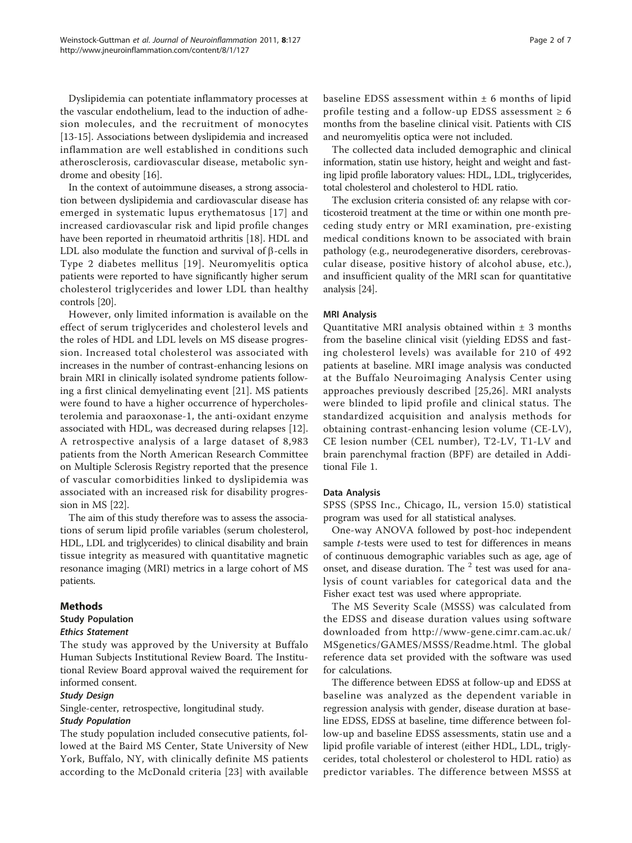Dyslipidemia can potentiate inflammatory processes at the vascular endothelium, lead to the induction of adhesion molecules, and the recruitment of monocytes [[13-15\]](#page-5-0). Associations between dyslipidemia and increased inflammation are well established in conditions such atherosclerosis, cardiovascular disease, metabolic syndrome and obesity [[16\]](#page-6-0).

In the context of autoimmune diseases, a strong association between dyslipidemia and cardiovascular disease has emerged in systematic lupus erythematosus [[17\]](#page-6-0) and increased cardiovascular risk and lipid profile changes have been reported in rheumatoid arthritis [\[18\]](#page-6-0). HDL and LDL also modulate the function and survival of  $\beta$ -cells in Type 2 diabetes mellitus [[19\]](#page-6-0). Neuromyelitis optica patients were reported to have significantly higher serum cholesterol triglycerides and lower LDL than healthy controls [[20](#page-6-0)].

However, only limited information is available on the effect of serum triglycerides and cholesterol levels and the roles of HDL and LDL levels on MS disease progression. Increased total cholesterol was associated with increases in the number of contrast-enhancing lesions on brain MRI in clinically isolated syndrome patients following a first clinical demyelinating event [[21](#page-6-0)]. MS patients were found to have a higher occurrence of hypercholesterolemia and paraoxonase-1, the anti-oxidant enzyme associated with HDL, was decreased during relapses [\[12](#page-5-0)]. A retrospective analysis of a large dataset of 8,983 patients from the North American Research Committee on Multiple Sclerosis Registry reported that the presence of vascular comorbidities linked to dyslipidemia was associated with an increased risk for disability progression in MS [[22\]](#page-6-0).

The aim of this study therefore was to assess the associations of serum lipid profile variables (serum cholesterol, HDL, LDL and triglycerides) to clinical disability and brain tissue integrity as measured with quantitative magnetic resonance imaging (MRI) metrics in a large cohort of MS patients.

# Methods

# Study Population

# Ethics Statement

The study was approved by the University at Buffalo Human Subjects Institutional Review Board. The Institutional Review Board approval waived the requirement for informed consent.

#### Study Design

Single-center, retrospective, longitudinal study.

## Study Population

The study population included consecutive patients, followed at the Baird MS Center, State University of New York, Buffalo, NY, with clinically definite MS patients according to the McDonald criteria [\[23\]](#page-6-0) with available baseline EDSS assessment within  $\pm$  6 months of lipid profile testing and a follow-up EDSS assessment  $\geq 6$ months from the baseline clinical visit. Patients with CIS and neuromyelitis optica were not included.

The collected data included demographic and clinical information, statin use history, height and weight and fasting lipid profile laboratory values: HDL, LDL, triglycerides, total cholesterol and cholesterol to HDL ratio.

The exclusion criteria consisted of: any relapse with corticosteroid treatment at the time or within one month preceding study entry or MRI examination, pre-existing medical conditions known to be associated with brain pathology (e.g., neurodegenerative disorders, cerebrovascular disease, positive history of alcohol abuse, etc.), and insufficient quality of the MRI scan for quantitative analysis [[24](#page-6-0)].

### MRI Analysis

Quantitative MRI analysis obtained within  $\pm$  3 months from the baseline clinical visit (yielding EDSS and fasting cholesterol levels) was available for 210 of 492 patients at baseline. MRI image analysis was conducted at the Buffalo Neuroimaging Analysis Center using approaches previously described [[25,26](#page-6-0)]. MRI analysts were blinded to lipid profile and clinical status. The standardized acquisition and analysis methods for obtaining contrast-enhancing lesion volume (CE-LV), CE lesion number (CEL number), T2-LV, T1-LV and brain parenchymal fraction (BPF) are detailed in Additional File [1.](#page-5-0)

# Data Analysis

SPSS (SPSS Inc., Chicago, IL, version 15.0) statistical program was used for all statistical analyses.

One-way ANOVA followed by post-hoc independent sample *t*-tests were used to test for differences in means of continuous demographic variables such as age, age of onset, and disease duration. The  $2$  test was used for analysis of count variables for categorical data and the Fisher exact test was used where appropriate.

The MS Severity Scale (MSSS) was calculated from the EDSS and disease duration values using software downloaded from [http://www-gene.cimr.cam.ac.uk/](http://www-gene.cimr.cam.ac.uk/MSgenetics/GAMES/MSSS/Readme.html) [MSgenetics/GAMES/MSSS/Readme.html](http://www-gene.cimr.cam.ac.uk/MSgenetics/GAMES/MSSS/Readme.html). The global reference data set provided with the software was used for calculations.

The difference between EDSS at follow-up and EDSS at baseline was analyzed as the dependent variable in regression analysis with gender, disease duration at baseline EDSS, EDSS at baseline, time difference between follow-up and baseline EDSS assessments, statin use and a lipid profile variable of interest (either HDL, LDL, triglycerides, total cholesterol or cholesterol to HDL ratio) as predictor variables. The difference between MSSS at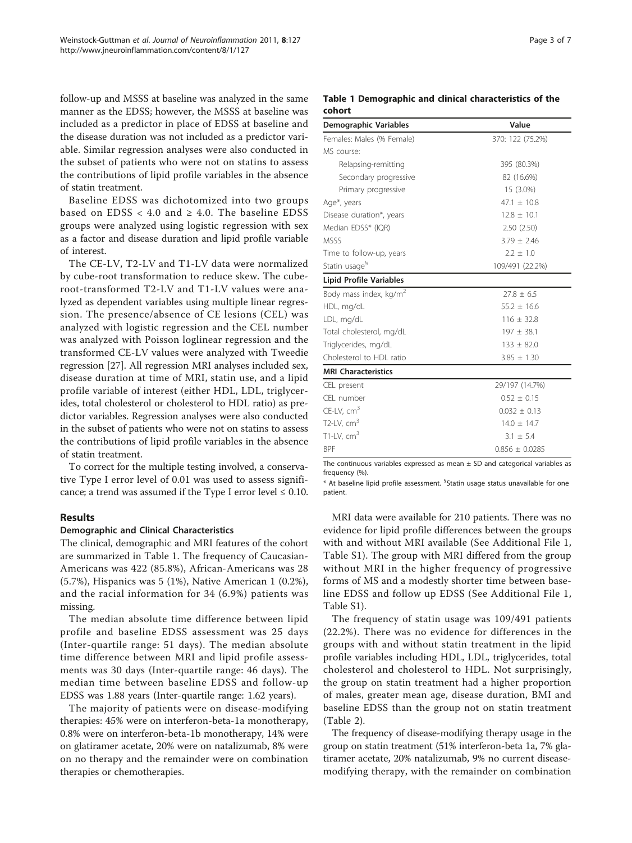follow-up and MSSS at baseline was analyzed in the same manner as the EDSS; however, the MSSS at baseline was included as a predictor in place of EDSS at baseline and the disease duration was not included as a predictor variable. Similar regression analyses were also conducted in the subset of patients who were not on statins to assess the contributions of lipid profile variables in the absence of statin treatment.

Baseline EDSS was dichotomized into two groups based on EDSS < 4.0 and  $\geq$  4.0. The baseline EDSS groups were analyzed using logistic regression with sex as a factor and disease duration and lipid profile variable of interest.

The CE-LV, T2-LV and T1-LV data were normalized by cube-root transformation to reduce skew. The cuberoot-transformed T2-LV and T1-LV values were analyzed as dependent variables using multiple linear regression. The presence/absence of CE lesions (CEL) was analyzed with logistic regression and the CEL number was analyzed with Poisson loglinear regression and the transformed CE-LV values were analyzed with Tweedie regression [\[27\]](#page-6-0). All regression MRI analyses included sex, disease duration at time of MRI, statin use, and a lipid profile variable of interest (either HDL, LDL, triglycerides, total cholesterol or cholesterol to HDL ratio) as predictor variables. Regression analyses were also conducted in the subset of patients who were not on statins to assess the contributions of lipid profile variables in the absence of statin treatment.

To correct for the multiple testing involved, a conservative Type I error level of 0.01 was used to assess significance; a trend was assumed if the Type I error level  $\leq 0.10$ .

# Results

# Demographic and Clinical Characteristics

The clinical, demographic and MRI features of the cohort are summarized in Table 1. The frequency of Caucasian-Americans was 422 (85.8%), African-Americans was 28 (5.7%), Hispanics was 5 (1%), Native American 1 (0.2%), and the racial information for 34 (6.9%) patients was missing.

The median absolute time difference between lipid profile and baseline EDSS assessment was 25 days (Inter-quartile range: 51 days). The median absolute time difference between MRI and lipid profile assessments was 30 days (Inter-quartile range: 46 days). The median time between baseline EDSS and follow-up EDSS was 1.88 years (Inter-quartile range: 1.62 years).

The majority of patients were on disease-modifying therapies: 45% were on interferon-beta-1a monotherapy, 0.8% were on interferon-beta-1b monotherapy, 14% were on glatiramer acetate, 20% were on natalizumab, 8% were on no therapy and the remainder were on combination therapies or chemotherapies.

# Table 1 Demographic and clinical characteristics of the cohort

| <b>Demographic Variables</b>       | Value              |  |  |  |  |
|------------------------------------|--------------------|--|--|--|--|
| Females: Males (% Female)          | 370: 122 (75.2%)   |  |  |  |  |
| MS course:                         |                    |  |  |  |  |
| Relapsing-remitting                | 395 (80.3%)        |  |  |  |  |
| Secondary progressive              | 82 (16.6%)         |  |  |  |  |
| Primary progressive                | 15 (3.0%)          |  |  |  |  |
| Age*, years                        | $47.1 \pm 10.8$    |  |  |  |  |
| Disease duration*, years           | $12.8 + 10.1$      |  |  |  |  |
| Median EDSS* (IQR)                 | 2.50(2.50)         |  |  |  |  |
| <b>MSSS</b>                        | $3.79 \pm 2.46$    |  |  |  |  |
| Time to follow-up, years           | $2.2 \pm 1.0$      |  |  |  |  |
| Statin usage <sup>§</sup>          | 109/491 (22.2%)    |  |  |  |  |
| <b>Lipid Profile Variables</b>     |                    |  |  |  |  |
| Body mass index, kg/m <sup>2</sup> | $27.8 + 6.5$       |  |  |  |  |
| HDL, mg/dL                         | $55.2 \pm 16.6$    |  |  |  |  |
| LDL, mg/dL                         | $116 \pm 32.8$     |  |  |  |  |
| Total cholesterol, mg/dL           | $197 \pm 38.1$     |  |  |  |  |
| Triglycerides, mg/dL               | $133 \pm 82.0$     |  |  |  |  |
| Cholesterol to HDL ratio           | $3.85 \pm 1.30$    |  |  |  |  |
| <b>MRI Characteristics</b>         |                    |  |  |  |  |
| CEL present                        | 29/197 (14.7%)     |  |  |  |  |
| CFI number                         | $0.52 + 0.15$      |  |  |  |  |
| $CE-LV, cm3$                       | $0.032 \pm 0.13$   |  |  |  |  |
| T <sub>2</sub> -LV, $cm3$          | $14.0 \pm 14.7$    |  |  |  |  |
| T1-LV, $cm3$                       | $3.1 \pm 5.4$      |  |  |  |  |
| <b>BPF</b>                         | $0.856 \pm 0.0285$ |  |  |  |  |

The continuous variables expressed as mean  $\pm$  SD and categorical variables as frequency (%)

\* At baseline lipid profile assessment. § Statin usage status unavailable for one patient.

MRI data were available for 210 patients. There was no evidence for lipid profile differences between the groups with and without MRI available (See Additional File [1](#page-5-0), Table S1). The group with MRI differed from the group without MRI in the higher frequency of progressive forms of MS and a modestly shorter time between baseline EDSS and follow up EDSS (See Additional File [1](#page-5-0), Table S1).

The frequency of statin usage was 109/491 patients (22.2%). There was no evidence for differences in the groups with and without statin treatment in the lipid profile variables including HDL, LDL, triglycerides, total cholesterol and cholesterol to HDL. Not surprisingly, the group on statin treatment had a higher proportion of males, greater mean age, disease duration, BMI and baseline EDSS than the group not on statin treatment (Table [2\)](#page-3-0).

The frequency of disease-modifying therapy usage in the group on statin treatment (51% interferon-beta 1a, 7% glatiramer acetate, 20% natalizumab, 9% no current diseasemodifying therapy, with the remainder on combination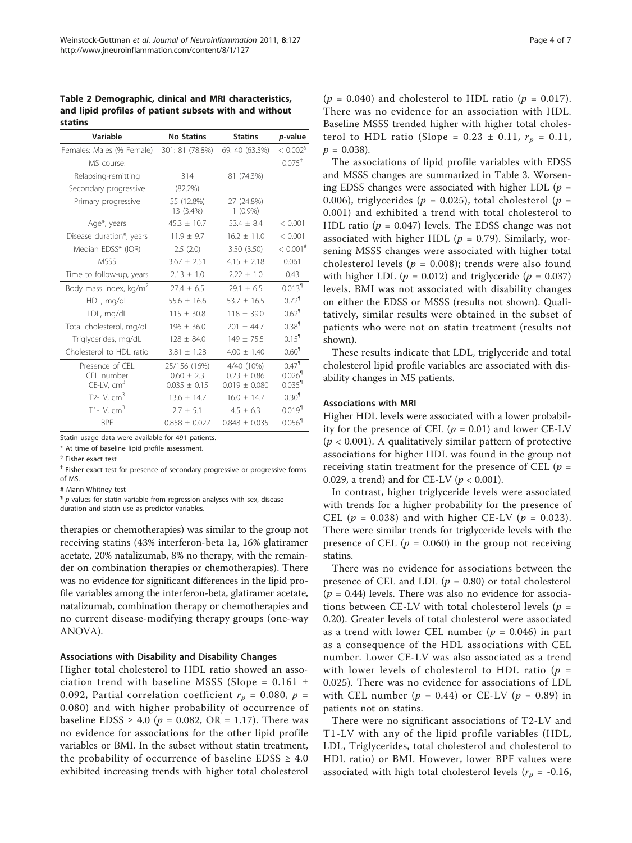<span id="page-3-0"></span>Table 2 Demographic, clinical and MRI characteristics, and lipid profiles of patient subsets with and without statins

| Variable                           | <b>No Statins</b>       | <b>Statins</b>           | p-value                       |
|------------------------------------|-------------------------|--------------------------|-------------------------------|
| Females: Males (% Female)          | 301: 81 (78.8%)         | 69: 40 (63.3%)           | $< 0.002^{\frac{5}{3}}$       |
| MS course:                         |                         |                          | $0.075^{\ddagger}$            |
| Relapsing-remitting                | 314                     | 81 (74.3%)               |                               |
| Secondary progressive              | $(82.2\%)$              |                          |                               |
| Primary progressive                | 55 (12.8%)<br>13 (3.4%) | 27 (24.8%)<br>$1(0.9\%)$ |                               |
| Age*, years                        | $45.3 \pm 10.7$         | $53.4 + 8.4$             | < 0.001                       |
| Disease duration*, years           | $11.9 \pm 9.7$          | $16.2 + 11.0$            | < 0.001                       |
| Median EDSS* (IQR)                 | 2.5(2.0)                | 3.50(3.50)               | $< 0.001$ <sup>#</sup>        |
| <b>MSSS</b>                        | $3.67 \pm 2.51$         | $4.15 + 2.18$            | 0.061                         |
| Time to follow-up, years           | $2.13 \pm 1.0$          | $2.22 \pm 1.0$           | 0.43                          |
| Body mass index, kg/m <sup>2</sup> | $27.4 \pm 6.5$          | $29.1 \pm 6.5$           | $0.013$ <sup>9</sup>          |
| HDL, mg/dL                         | $55.6 + 16.6$           | $53.7 + 16.5$            | $0.72$ <sup>1</sup>           |
| LDL, mg/dL                         | $115 \pm 30.8$          | $118 + 39.0$             | $0.62$ <sup>1</sup>           |
| Total cholesterol, mg/dL           | $196 \pm 36.0$          | $201 \pm 44.7$           | 0.38 <sup>1</sup>             |
| Triglycerides, mg/dL               | $128 \pm 84.0$          | $149 \pm 75.5$           | 0.15 <sup>1</sup>             |
| Cholesterol to HDL ratio           | $3.81 + 1.28$           | $4.00 + 1.40$            | $0.60$ <sup>1</sup>           |
| Presence of CFI                    | 25/156 (16%)            | 4/40 (10%)               | $0.47$ <sup>1</sup>           |
| CEL number                         | $0.60 \pm 2.3$          | $0.23 \pm 0.86$          | 0.026<br>$0.035$ <sup>1</sup> |
| $CE-LV$ , $cm3$                    | $0.035 \pm 0.15$        | $0.019 \pm 0.080$        |                               |
| T2-LV, $cm3$                       | $13.6 \pm 14.7$         | $16.0 \pm 14.7$          | 0.30 <sup>1</sup>             |
| T1-LV, $cm3$                       | $2.7 \pm 5.1$           | $4.5 + 6.3$              | 0.019 <sup>1</sup>            |
| <b>BPF</b>                         | $0.858 + 0.027$         | $0.848 + 0.035$          | $0.056$ <sup>1</sup>          |

Statin usage data were available for 491 patients.

\* At time of baseline lipid profile assessment.

§ Fisher exact test

‡ Fisher exact test for presence of secondary progressive or progressive forms of MS.

# Mann-Whitney test

p-values for statin variable from regression analyses with sex, disease duration and statin use as predictor variables.

therapies or chemotherapies) was similar to the group not receiving statins (43% interferon-beta 1a, 16% glatiramer acetate, 20% natalizumab, 8% no therapy, with the remainder on combination therapies or chemotherapies). There was no evidence for significant differences in the lipid profile variables among the interferon-beta, glatiramer acetate, natalizumab, combination therapy or chemotherapies and no current disease-modifying therapy groups (one-way ANOVA).

#### Associations with Disability and Disability Changes

Higher total cholesterol to HDL ratio showed an association trend with baseline MSSS (Slope =  $0.161 \pm$ 0.092, Partial correlation coefficient  $r_p = 0.080$ ,  $p =$ 0.080) and with higher probability of occurrence of baseline EDSS ≥ 4.0 ( $p = 0.082$ , OR = 1.17). There was no evidence for associations for the other lipid profile variables or BMI. In the subset without statin treatment, the probability of occurrence of baseline EDSS  $\geq 4.0$ exhibited increasing trends with higher total cholesterol  $(p = 0.040)$  and cholesterol to HDL ratio  $(p = 0.017)$ . There was no evidence for an association with HDL. Baseline MSSS trended higher with higher total cholesterol to HDL ratio (Slope =  $0.23 \pm 0.11$ ,  $r_p = 0.11$ ,  $p = 0.038$ ).

The associations of lipid profile variables with EDSS and MSSS changes are summarized in Table [3](#page-4-0). Worsening EDSS changes were associated with higher LDL ( $p =$ 0.006), triglycerides ( $p = 0.025$ ), total cholesterol ( $p =$ 0.001) and exhibited a trend with total cholesterol to HDL ratio ( $p = 0.047$ ) levels. The EDSS change was not associated with higher HDL ( $p = 0.79$ ). Similarly, worsening MSSS changes were associated with higher total cholesterol levels ( $p = 0.008$ ); trends were also found with higher LDL ( $p = 0.012$ ) and triglyceride ( $p = 0.037$ ) levels. BMI was not associated with disability changes on either the EDSS or MSSS (results not shown). Qualitatively, similar results were obtained in the subset of patients who were not on statin treatment (results not shown).

These results indicate that LDL, triglyceride and total cholesterol lipid profile variables are associated with disability changes in MS patients.

#### Associations with MRI

Higher HDL levels were associated with a lower probability for the presence of CEL ( $p = 0.01$ ) and lower CE-LV  $(p < 0.001)$ . A qualitatively similar pattern of protective associations for higher HDL was found in the group not receiving statin treatment for the presence of CEL ( $p =$ 0.029, a trend) and for CE-LV ( $p < 0.001$ ).

In contrast, higher triglyceride levels were associated with trends for a higher probability for the presence of CEL ( $p = 0.038$ ) and with higher CE-LV ( $p = 0.023$ ). There were similar trends for triglyceride levels with the presence of CEL ( $p = 0.060$ ) in the group not receiving statins.

There was no evidence for associations between the presence of CEL and LDL ( $p = 0.80$ ) or total cholesterol  $(p = 0.44)$  levels. There was also no evidence for associations between CE-LV with total cholesterol levels ( $p =$ 0.20). Greater levels of total cholesterol were associated as a trend with lower CEL number ( $p = 0.046$ ) in part as a consequence of the HDL associations with CEL number. Lower CE-LV was also associated as a trend with lower levels of cholesterol to HDL ratio ( $p =$ 0.025). There was no evidence for associations of LDL with CEL number ( $p = 0.44$ ) or CE-LV ( $p = 0.89$ ) in patients not on statins.

There were no significant associations of T2-LV and T1-LV with any of the lipid profile variables (HDL, LDL, Triglycerides, total cholesterol and cholesterol to HDL ratio) or BMI. However, lower BPF values were associated with high total cholesterol levels ( $r_p$  = -0.16,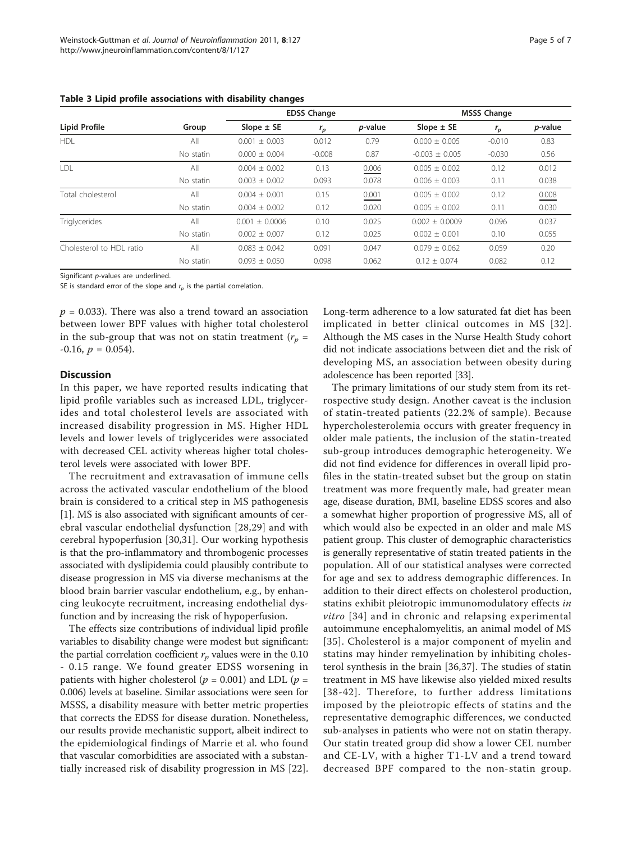|                          | Group     | <b>EDSS Change</b> |          |            | <b>MSSS Change</b> |          |                 |
|--------------------------|-----------|--------------------|----------|------------|--------------------|----------|-----------------|
| Lipid Profile            |           | Slope $\pm$ SE     | $r_p$    | $p$ -value | Slope $\pm$ SE     | $r_p$    | <i>p</i> -value |
| <b>HDL</b>               | All       | $0.001 + 0.003$    | 0.012    | 0.79       | $0.000 + 0.005$    | $-0.010$ | 0.83            |
|                          | No statin | $0.000 \pm 0.004$  | $-0.008$ | 0.87       | $-0.003 \pm 0.005$ | $-0.030$ | 0.56            |
| LDL                      | All       | $0.004 + 0.002$    | 0.13     | 0.006      | $0.005 + 0.002$    | 0.12     | 0.012           |
|                          | No statin | $0.003 \pm 0.002$  | 0.093    | 0.078      | $0.006 + 0.003$    | 0.11     | 0.038           |
| Total cholesterol        | All       | $0.004 + 0.001$    | 0.15     | 0.001      | $0.005 + 0.002$    | 0.12     | 0.008           |
|                          | No statin | $0.004 + 0.002$    | 0.12     | 0.020      | $0.005 + 0.002$    | 0.11     | 0.030           |
| <b>Triglycerides</b>     | All       | $0.001 + 0.0006$   | 0.10     | 0.025      | $0.002 + 0.0009$   | 0.096    | 0.037           |
|                          | No statin | $0.002 + 0.007$    | 0.12     | 0.025      | $0.002 \pm 0.001$  | 0.10     | 0.055           |
| Cholesterol to HDI ratio | All       | $0.083 + 0.042$    | 0.091    | 0.047      | $0.079 + 0.062$    | 0.059    | 0.20            |
|                          | No statin | $0.093 \pm 0.050$  | 0.098    | 0.062      | $0.12 + 0.074$     | 0.082    | 0.12            |

<span id="page-4-0"></span>Table 3 Lipid profile associations with disability changes

Significant p-values are underlined.

SE is standard error of the slope and  $r_p$  is the partial correlation.

 $p = 0.033$ ). There was also a trend toward an association between lower BPF values with higher total cholesterol in the sub-group that was not on statin treatment ( $r_p$  =  $-0.16, p = 0.054$ .

# **Discussion**

In this paper, we have reported results indicating that lipid profile variables such as increased LDL, triglycerides and total cholesterol levels are associated with increased disability progression in MS. Higher HDL levels and lower levels of triglycerides were associated with decreased CEL activity whereas higher total cholesterol levels were associated with lower BPF.

The recruitment and extravasation of immune cells across the activated vascular endothelium of the blood brain is considered to a critical step in MS pathogenesis [[1\]](#page-5-0). MS is also associated with significant amounts of cerebral vascular endothelial dysfunction [[28,29](#page-6-0)] and with cerebral hypoperfusion [[30,31](#page-6-0)]. Our working hypothesis is that the pro-inflammatory and thrombogenic processes associated with dyslipidemia could plausibly contribute to disease progression in MS via diverse mechanisms at the blood brain barrier vascular endothelium, e.g., by enhancing leukocyte recruitment, increasing endothelial dysfunction and by increasing the risk of hypoperfusion.

The effects size contributions of individual lipid profile variables to disability change were modest but significant: the partial correlation coefficient  $r_p$  values were in the 0.10 - 0.15 range. We found greater EDSS worsening in patients with higher cholesterol ( $p = 0.001$ ) and LDL ( $p =$ 0.006) levels at baseline. Similar associations were seen for MSSS, a disability measure with better metric properties that corrects the EDSS for disease duration. Nonetheless, our results provide mechanistic support, albeit indirect to the epidemiological findings of Marrie et al. who found that vascular comorbidities are associated with a substantially increased risk of disability progression in MS [[22](#page-6-0)]. Long-term adherence to a low saturated fat diet has been implicated in better clinical outcomes in MS [[32\]](#page-6-0). Although the MS cases in the Nurse Health Study cohort did not indicate associations between diet and the risk of developing MS, an association between obesity during adolescence has been reported [[33](#page-6-0)].

The primary limitations of our study stem from its retrospective study design. Another caveat is the inclusion of statin-treated patients (22.2% of sample). Because hypercholesterolemia occurs with greater frequency in older male patients, the inclusion of the statin-treated sub-group introduces demographic heterogeneity. We did not find evidence for differences in overall lipid profiles in the statin-treated subset but the group on statin treatment was more frequently male, had greater mean age, disease duration, BMI, baseline EDSS scores and also a somewhat higher proportion of progressive MS, all of which would also be expected in an older and male MS patient group. This cluster of demographic characteristics is generally representative of statin treated patients in the population. All of our statistical analyses were corrected for age and sex to address demographic differences. In addition to their direct effects on cholesterol production, statins exhibit pleiotropic immunomodulatory effects in vitro [[34\]](#page-6-0) and in chronic and relapsing experimental autoimmune encephalomyelitis, an animal model of MS [[35\]](#page-6-0). Cholesterol is a major component of myelin and statins may hinder remyelination by inhibiting cholesterol synthesis in the brain [\[36,37\]](#page-6-0). The studies of statin treatment in MS have likewise also yielded mixed results [[38](#page-6-0)-[42\]](#page-6-0). Therefore, to further address limitations imposed by the pleiotropic effects of statins and the representative demographic differences, we conducted sub-analyses in patients who were not on statin therapy. Our statin treated group did show a lower CEL number and CE-LV, with a higher T1-LV and a trend toward decreased BPF compared to the non-statin group.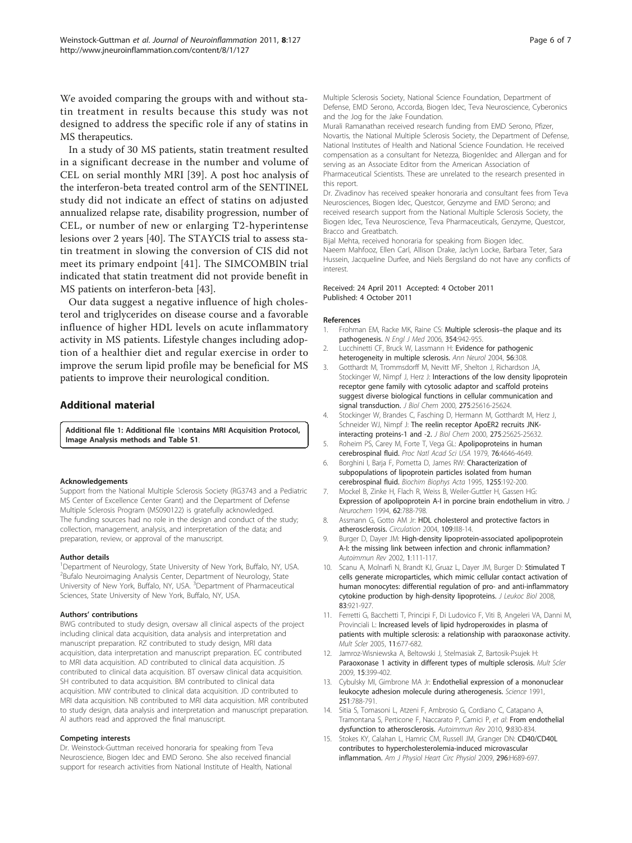<span id="page-5-0"></span>We avoided comparing the groups with and without statin treatment in results because this study was not designed to address the specific role if any of statins in MS therapeutics.

In a study of 30 MS patients, statin treatment resulted in a significant decrease in the number and volume of CEL on serial monthly MRI [[39\]](#page-6-0). A post hoc analysis of the interferon-beta treated control arm of the SENTINEL study did not indicate an effect of statins on adjusted annualized relapse rate, disability progression, number of CEL, or number of new or enlarging T2-hyperintense lesions over 2 years [[40\]](#page-6-0). The STAYCIS trial to assess statin treatment in slowing the conversion of CIS did not meet its primary endpoint [[41\]](#page-6-0). The SIMCOMBIN trial indicated that statin treatment did not provide benefit in MS patients on interferon-beta [\[43\]](#page-6-0).

Our data suggest a negative influence of high cholesterol and triglycerides on disease course and a favorable influence of higher HDL levels on acute inflammatory activity in MS patients. Lifestyle changes including adoption of a healthier diet and regular exercise in order to improve the serum lipid profile may be beneficial for MS patients to improve their neurological condition.

# Additional material

[Additional file 1: A](http://www.biomedcentral.com/content/supplementary/1742-2094-8-127-S1.DOC)dditional file 1contains MRI Acquisition Protocol, Image Analysis methods and Table S1.

#### Acknowledgements

Support from the National Multiple Sclerosis Society (RG3743 and a Pediatric MS Center of Excellence Center Grant) and the Department of Defense Multiple Sclerosis Program (MS090122) is gratefully acknowledged. The funding sources had no role in the design and conduct of the study; collection, management, analysis, and interpretation of the data; and preparation, review, or approval of the manuscript.

#### Author details

<sup>1</sup>Department of Neurology, State University of New York, Buffalo, NY, USA. 2 Bufalo Neuroimaging Analysis Center, Department of Neurology, State University of New York, Buffalo, NY, USA. <sup>3</sup>Department of Pharmaceutical Sciences, State University of New York, Buffalo, NY, USA.

#### Authors' contributions

BWG contributed to study design, oversaw all clinical aspects of the project including clinical data acquisition, data analysis and interpretation and manuscript preparation. RZ contributed to study design, MRI data acquisition, data interpretation and manuscript preparation. EC contributed to MRI data acquisition. AD contributed to clinical data acquisition. JS contributed to clinical data acquisition. BT oversaw clinical data acquisition. SH contributed to data acquisition. BM contributed to clinical data acquisition. MW contributed to clinical data acquisition. JD contributed to MRI data acquisition. NB contributed to MRI data acquisition. MR contributed to study design, data analysis and interpretation and manuscript preparation. Al authors read and approved the final manuscript.

#### Competing interests

Dr. Weinstock-Guttman received honoraria for speaking from Teva Neuroscience, Biogen Idec and EMD Serono. She also received financial support for research activities from National Institute of Health, National Murali Ramanathan received research funding from EMD Serono, Pfizer, Novartis, the National Multiple Sclerosis Society, the Department of Defense, National Institutes of Health and National Science Foundation. He received compensation as a consultant for Netezza, BiogenIdec and Allergan and for serving as an Associate Editor from the American Association of

Pharmaceutical Scientists. These are unrelated to the research presented in this report.

Dr. Zivadinov has received speaker honoraria and consultant fees from Teva Neurosciences, Biogen Idec, Questcor, Genzyme and EMD Serono; and received research support from the National Multiple Sclerosis Society, the Biogen Idec, Teva Neuroscience, Teva Pharmaceuticals, Genzyme, Questcor, Bracco and Greatbatch.

Bijal Mehta, received honoraria for speaking from Biogen Idec. Naeem Mahfooz, Ellen Carl, Allison Drake, Jaclyn Locke, Barbara Teter, Sara Hussein, Jacqueline Durfee, and Niels Bergsland do not have any conflicts of interest.

#### Received: 24 April 2011 Accepted: 4 October 2011 Published: 4 October 2011

#### References

- 1. Frohman EM, Racke MK, Raine CS: Multiple sclerosis-[the plaque and its](http://www.ncbi.nlm.nih.gov/pubmed/16510748?dopt=Abstract) [pathogenesis.](http://www.ncbi.nlm.nih.gov/pubmed/16510748?dopt=Abstract) N Engl J Med 2006, 354:942-955.
- 2. Lucchinetti CF, Bruck W, Lassmann H: [Evidence for pathogenic](http://www.ncbi.nlm.nih.gov/pubmed/15293289?dopt=Abstract) [heterogeneity in multiple sclerosis.](http://www.ncbi.nlm.nih.gov/pubmed/15293289?dopt=Abstract) Ann Neurol 2004, 56:308.
- 3. Gotthardt M, Trommsdorff M, Nevitt MF, Shelton J, Richardson JA, Stockinger W, Nimpf J, Herz J; [Interactions of the low density lipoprotein](http://www.ncbi.nlm.nih.gov/pubmed/10827173?dopt=Abstract) [receptor gene family with cytosolic adaptor and scaffold proteins](http://www.ncbi.nlm.nih.gov/pubmed/10827173?dopt=Abstract) [suggest diverse biological functions in cellular communication and](http://www.ncbi.nlm.nih.gov/pubmed/10827173?dopt=Abstract) [signal transduction.](http://www.ncbi.nlm.nih.gov/pubmed/10827173?dopt=Abstract) *J Biol Chem 2000*, 275:25616-25624.
- 4. Stockinger W, Brandes C, Fasching D, Hermann M, Gotthardt M, Herz J, Schneider WJ, Nimpf J: [The reelin receptor ApoER2 recruits JNK](http://www.ncbi.nlm.nih.gov/pubmed/10827199?dopt=Abstract)[interacting proteins-1 and -2.](http://www.ncbi.nlm.nih.gov/pubmed/10827199?dopt=Abstract) J Biol Chem 2000, 275:25625-25632.
- 5. Roheim PS, Carey M, Forte T, Vega GL: [Apolipoproteins in human](http://www.ncbi.nlm.nih.gov/pubmed/291993?dopt=Abstract) [cerebrospinal fluid.](http://www.ncbi.nlm.nih.gov/pubmed/291993?dopt=Abstract) Proc Natl Acad Sci USA 1979, 76:4646-4649.
- 6. Borghini I, Barja F, Pometta D, James RW: [Characterization of](http://www.ncbi.nlm.nih.gov/pubmed/7696334?dopt=Abstract) [subpopulations of lipoprotein particles isolated from human](http://www.ncbi.nlm.nih.gov/pubmed/7696334?dopt=Abstract) [cerebrospinal fluid.](http://www.ncbi.nlm.nih.gov/pubmed/7696334?dopt=Abstract) Biochim Biophys Acta 1995, 1255:192-200.
- 7. Mockel B, Zinke H, Flach R, Weiss B, Weiler-Guttler H, Gassen HG: [Expression of apolipoprotein A-I in porcine brain endothelium in vitro.](http://www.ncbi.nlm.nih.gov/pubmed/8294940?dopt=Abstract) J Neurochem 1994, 62:788-798.
- 8. Assmann G, Gotto AM Jr: [HDL cholesterol and protective factors in](http://www.ncbi.nlm.nih.gov/pubmed/15198960?dopt=Abstract) [atherosclerosis.](http://www.ncbi.nlm.nih.gov/pubmed/15198960?dopt=Abstract) Circulation 2004, 109:III8-14.
- 9. Burger D, Dayer JM: [High-density lipoprotein-associated apolipoprotein](http://www.ncbi.nlm.nih.gov/pubmed/12849067?dopt=Abstract) [A-I: the missing link between infection and chronic inflammation?](http://www.ncbi.nlm.nih.gov/pubmed/12849067?dopt=Abstract) Autoimmun Rev 2002, 1:111-117.
- 10. Scanu A, Molnarfi N, Brandt KJ, Gruaz L, Dayer JM, Burger D: [Stimulated T](http://www.ncbi.nlm.nih.gov/pubmed/18223103?dopt=Abstract) [cells generate microparticles, which mimic cellular contact activation of](http://www.ncbi.nlm.nih.gov/pubmed/18223103?dopt=Abstract) [human monocytes: differential regulation of pro- and anti-inflammatory](http://www.ncbi.nlm.nih.gov/pubmed/18223103?dopt=Abstract) [cytokine production by high-density lipoproteins.](http://www.ncbi.nlm.nih.gov/pubmed/18223103?dopt=Abstract) *J Leukoc Biol* 2008, 83:921-927.
- 11. Ferretti G, Bacchetti T, Principi F, Di Ludovico F, Viti B, Angeleri VA, Danni M, Provinciali L: [Increased levels of lipid hydroperoxides in plasma of](http://www.ncbi.nlm.nih.gov/pubmed/16320727?dopt=Abstract) [patients with multiple sclerosis: a relationship with paraoxonase activity.](http://www.ncbi.nlm.nih.gov/pubmed/16320727?dopt=Abstract) Mult Scler 2005, 11:677-682.
- 12. Jamroz-Wisniewska A, Beltowski J, Stelmasiak Z, Bartosik-Psujek H: [Paraoxonase 1 activity in different types of multiple sclerosis.](http://www.ncbi.nlm.nih.gov/pubmed/18845659?dopt=Abstract) Mult Scler 2009, 15:399-402.
- 13. Cybulsky MI, Gimbrone MA Jr: [Endothelial expression of a mononuclear](http://www.ncbi.nlm.nih.gov/pubmed/1990440?dopt=Abstract) [leukocyte adhesion molecule during atherogenesis.](http://www.ncbi.nlm.nih.gov/pubmed/1990440?dopt=Abstract) Science 1991, 251:788-791.
- 14. Sitia S, Tomasoni L, Atzeni F, Ambrosio G, Cordiano C, Catapano A, Tramontana S, Perticone F, Naccarato P, Camici P, et al: [From endothelial](http://www.ncbi.nlm.nih.gov/pubmed/20678595?dopt=Abstract) [dysfunction to atherosclerosis.](http://www.ncbi.nlm.nih.gov/pubmed/20678595?dopt=Abstract) Autoimmun Rev 2010, 9:830-834.
- 15. Stokes KY, Calahan L, Hamric CM, Russell JM, Granger DN: [CD40/CD40L](http://www.ncbi.nlm.nih.gov/pubmed/19112095?dopt=Abstract) [contributes to hypercholesterolemia-induced microvascular](http://www.ncbi.nlm.nih.gov/pubmed/19112095?dopt=Abstract) [inflammation.](http://www.ncbi.nlm.nih.gov/pubmed/19112095?dopt=Abstract) Am J Physiol Heart Circ Physiol 2009, 296:H689-697.